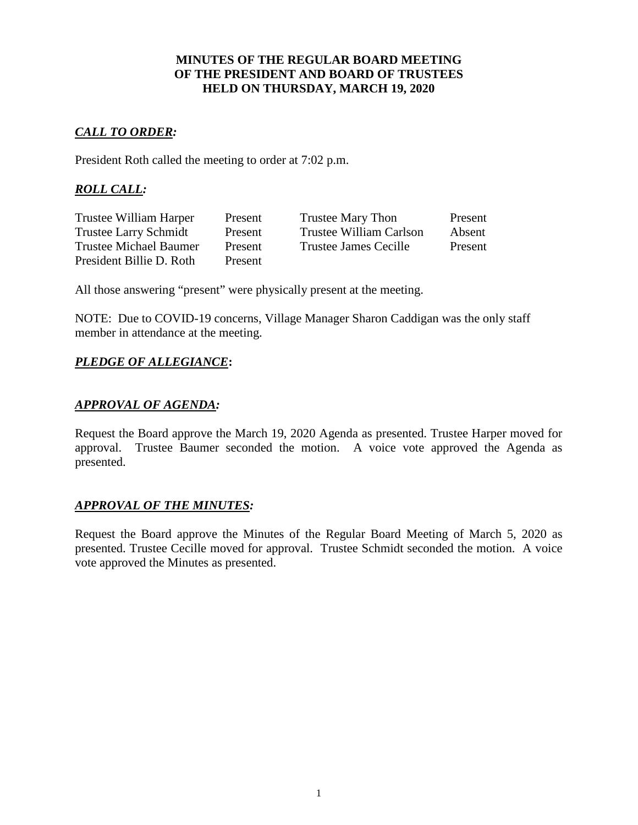## **MINUTES OF THE REGULAR BOARD MEETING OF THE PRESIDENT AND BOARD OF TRUSTEES HELD ON THURSDAY, MARCH 19, 2020**

# *CALL TO ORDER:*

President Roth called the meeting to order at 7:02 p.m.

# *ROLL CALL:*

| Trustee William Harper        | Present | Trustee Mary Thon       | Present |
|-------------------------------|---------|-------------------------|---------|
| <b>Trustee Larry Schmidt</b>  | Present | Trustee William Carlson | Absent  |
| <b>Trustee Michael Baumer</b> | Present | Trustee James Cecille   | Present |
| President Billie D. Roth      | Present |                         |         |

All those answering "present" were physically present at the meeting.

NOTE: Due to COVID-19 concerns, Village Manager Sharon Caddigan was the only staff member in attendance at the meeting.

# *PLEDGE OF ALLEGIANCE***:**

## *APPROVAL OF AGENDA:*

Request the Board approve the March 19, 2020 Agenda as presented. Trustee Harper moved for approval. Trustee Baumer seconded the motion. A voice vote approved the Agenda as presented.

## *APPROVAL OF THE MINUTES:*

Request the Board approve the Minutes of the Regular Board Meeting of March 5, 2020 as presented. Trustee Cecille moved for approval. Trustee Schmidt seconded the motion. A voice vote approved the Minutes as presented.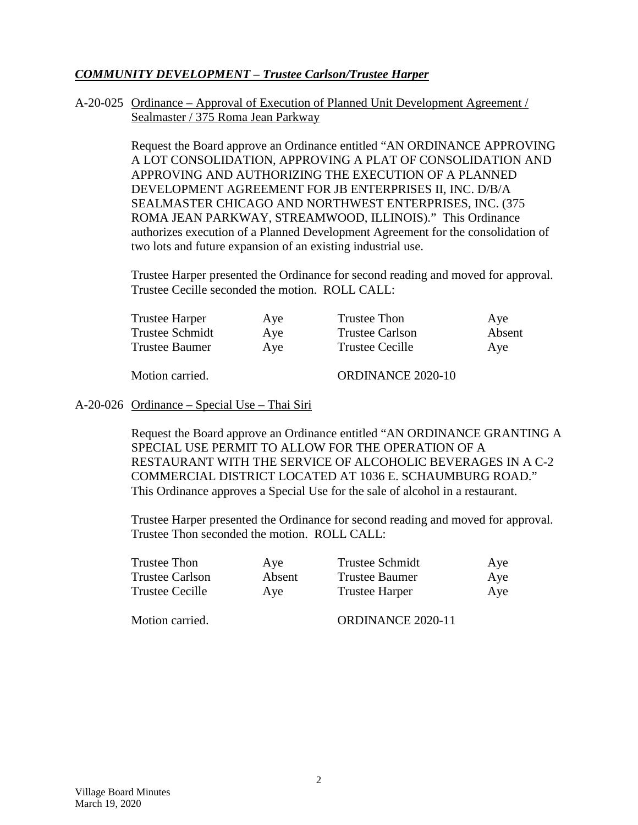## *COMMUNITY DEVELOPMENT – Trustee Carlson/Trustee Harper*

### A-20-025 Ordinance – Approval of Execution of Planned Unit Development Agreement / Sealmaster / 375 Roma Jean Parkway

Request the Board approve an Ordinance entitled "AN ORDINANCE APPROVING A LOT CONSOLIDATION, APPROVING A PLAT OF CONSOLIDATION AND APPROVING AND AUTHORIZING THE EXECUTION OF A PLANNED DEVELOPMENT AGREEMENT FOR JB ENTERPRISES II, INC. D/B/A SEALMASTER CHICAGO AND NORTHWEST ENTERPRISES, INC. (375 ROMA JEAN PARKWAY, STREAMWOOD, ILLINOIS)." This Ordinance authorizes execution of a Planned Development Agreement for the consolidation of two lots and future expansion of an existing industrial use.

Trustee Harper presented the Ordinance for second reading and moved for approval. Trustee Cecille seconded the motion. ROLL CALL:

| <b>Trustee Harper</b>  | Aye | Trustee Thon             | Aye    |
|------------------------|-----|--------------------------|--------|
| <b>Trustee Schmidt</b> | Aye | <b>Trustee Carlson</b>   | Absent |
| <b>Trustee Baumer</b>  | Aye | <b>Trustee Cecille</b>   | Ave    |
| Motion carried.        |     | <b>ORDINANCE 2020-10</b> |        |

## A-20-026 Ordinance – Special Use – Thai Siri

Request the Board approve an Ordinance entitled "AN ORDINANCE GRANTING A SPECIAL USE PERMIT TO ALLOW FOR THE OPERATION OF A RESTAURANT WITH THE SERVICE OF ALCOHOLIC BEVERAGES IN A C-2 COMMERCIAL DISTRICT LOCATED AT 1036 E. SCHAUMBURG ROAD." This Ordinance approves a Special Use for the sale of alcohol in a restaurant.

Trustee Harper presented the Ordinance for second reading and moved for approval. Trustee Thon seconded the motion. ROLL CALL:

| Trustee Thon    | Aye    | <b>Trustee Schmidt</b> | Aye |  |
|-----------------|--------|------------------------|-----|--|
| Trustee Carlson | Absent | Trustee Baumer         | Aye |  |
| Trustee Cecille | Ave    | <b>Trustee Harper</b>  | Aye |  |
|                 |        |                        |     |  |

Motion carried. CORDINANCE 2020-11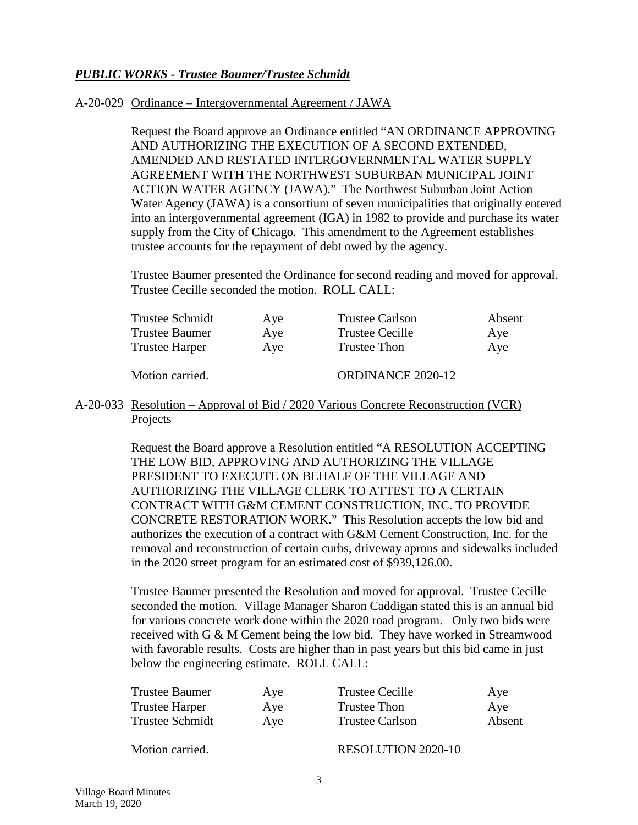## *PUBLIC WORKS - Trustee Baumer/Trustee Schmidt*

#### A-20-029 Ordinance – Intergovernmental Agreement / JAWA

Request the Board approve an Ordinance entitled "AN ORDINANCE APPROVING AND AUTHORIZING THE EXECUTION OF A SECOND EXTENDED, AMENDED AND RESTATED INTERGOVERNMENTAL WATER SUPPLY AGREEMENT WITH THE NORTHWEST SUBURBAN MUNICIPAL JOINT ACTION WATER AGENCY (JAWA)." The Northwest Suburban Joint Action Water Agency (JAWA) is a consortium of seven municipalities that originally entered into an intergovernmental agreement (IGA) in 1982 to provide and purchase its water supply from the City of Chicago. This amendment to the Agreement establishes trustee accounts for the repayment of debt owed by the agency.

Trustee Baumer presented the Ordinance for second reading and moved for approval. Trustee Cecille seconded the motion. ROLL CALL:

| Trustee Schmidt       | Aye | <b>Trustee Carlson</b> | Absent |
|-----------------------|-----|------------------------|--------|
| <b>Trustee Baumer</b> | Ave | <b>Trustee Cecille</b> | Ave    |
| <b>Trustee Harper</b> | Aye | Trustee Thon           | Aye    |
| Motion carried.       |     | ORDINANCE 2020-12      |        |

## A-20-033 Resolution – Approval of Bid / 2020 Various Concrete Reconstruction (VCR) Projects

Request the Board approve a Resolution entitled "A RESOLUTION ACCEPTING THE LOW BID, APPROVING AND AUTHORIZING THE VILLAGE PRESIDENT TO EXECUTE ON BEHALF OF THE VILLAGE AND AUTHORIZING THE VILLAGE CLERK TO ATTEST TO A CERTAIN CONTRACT WITH G&M CEMENT CONSTRUCTION, INC. TO PROVIDE CONCRETE RESTORATION WORK." This Resolution accepts the low bid and authorizes the execution of a contract with G&M Cement Construction, Inc. for the removal and reconstruction of certain curbs, driveway aprons and sidewalks included in the 2020 street program for an estimated cost of \$939,126.00.

Trustee Baumer presented the Resolution and moved for approval. Trustee Cecille seconded the motion. Village Manager Sharon Caddigan stated this is an annual bid for various concrete work done within the 2020 road program. Only two bids were received with G & M Cement being the low bid. They have worked in Streamwood with favorable results. Costs are higher than in past years but this bid came in just below the engineering estimate. ROLL CALL:

| Trustee Baumer  | Aye | Trustee Cecille        | Aye    |
|-----------------|-----|------------------------|--------|
| Trustee Harper  | Aye | Trustee Thon           | Aye    |
| Trustee Schmidt | Aye | <b>Trustee Carlson</b> | Absent |

Motion carried. RESOLUTION 2020-10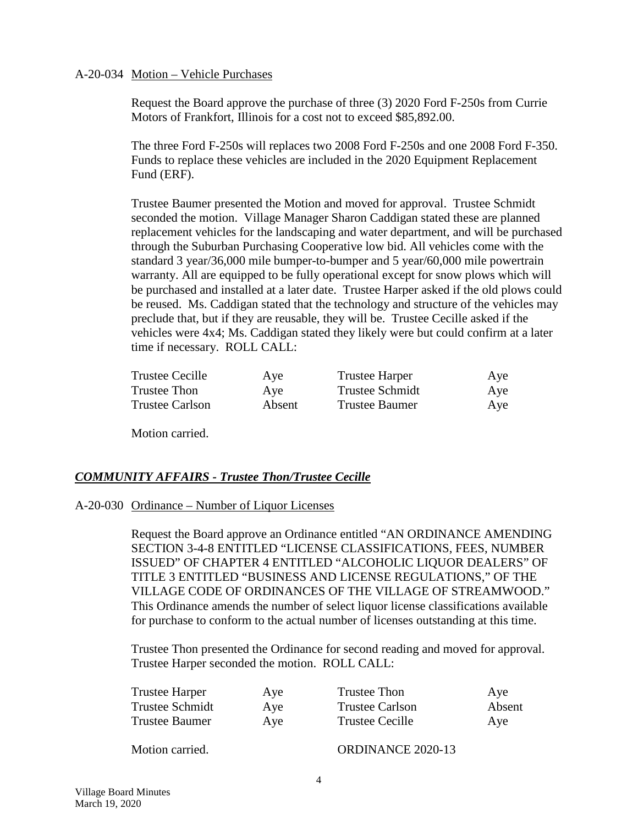#### A-20-034 Motion – Vehicle Purchases

Request the Board approve the purchase of three (3) 2020 Ford F-250s from Currie Motors of Frankfort, Illinois for a cost not to exceed \$85,892.00.

The three Ford F-250s will replaces two 2008 Ford F-250s and one 2008 Ford F-350. Funds to replace these vehicles are included in the 2020 Equipment Replacement Fund (ERF).

Trustee Baumer presented the Motion and moved for approval. Trustee Schmidt seconded the motion. Village Manager Sharon Caddigan stated these are planned replacement vehicles for the landscaping and water department, and will be purchased through the Suburban Purchasing Cooperative low bid. All vehicles come with the standard 3 year/36,000 mile bumper-to-bumper and 5 year/60,000 mile powertrain warranty. All are equipped to be fully operational except for snow plows which will be purchased and installed at a later date. Trustee Harper asked if the old plows could be reused. Ms. Caddigan stated that the technology and structure of the vehicles may preclude that, but if they are reusable, they will be. Trustee Cecille asked if the vehicles were 4x4; Ms. Caddigan stated they likely were but could confirm at a later time if necessary. ROLL CALL:

| Trustee Cecille        | Aye    | <b>Trustee Harper</b>  | Aye |
|------------------------|--------|------------------------|-----|
| Trustee Thon           | Aye    | <b>Trustee Schmidt</b> | Aye |
| <b>Trustee Carlson</b> | Absent | Trustee Baumer         | Aye |

Motion carried.

## *COMMUNITY AFFAIRS - Trustee Thon/Trustee Cecille*

#### A-20-030 Ordinance – Number of Liquor Licenses

Request the Board approve an Ordinance entitled "AN ORDINANCE AMENDING SECTION 3-4-8 ENTITLED "LICENSE CLASSIFICATIONS, FEES, NUMBER ISSUED" OF CHAPTER 4 ENTITLED "ALCOHOLIC LIQUOR DEALERS" OF TITLE 3 ENTITLED "BUSINESS AND LICENSE REGULATIONS," OF THE VILLAGE CODE OF ORDINANCES OF THE VILLAGE OF STREAMWOOD." This Ordinance amends the number of select liquor license classifications available for purchase to conform to the actual number of licenses outstanding at this time.

Trustee Thon presented the Ordinance for second reading and moved for approval. Trustee Harper seconded the motion. ROLL CALL:

| Trustee Harper  | Aye | Trustee Thon           | Aye    |
|-----------------|-----|------------------------|--------|
| Trustee Schmidt | Aye | <b>Trustee Carlson</b> | Absent |
| Trustee Baumer  | Aye | Trustee Cecille        | Aye    |
|                 |     |                        |        |

Motion carried. CONDINANCE 2020-13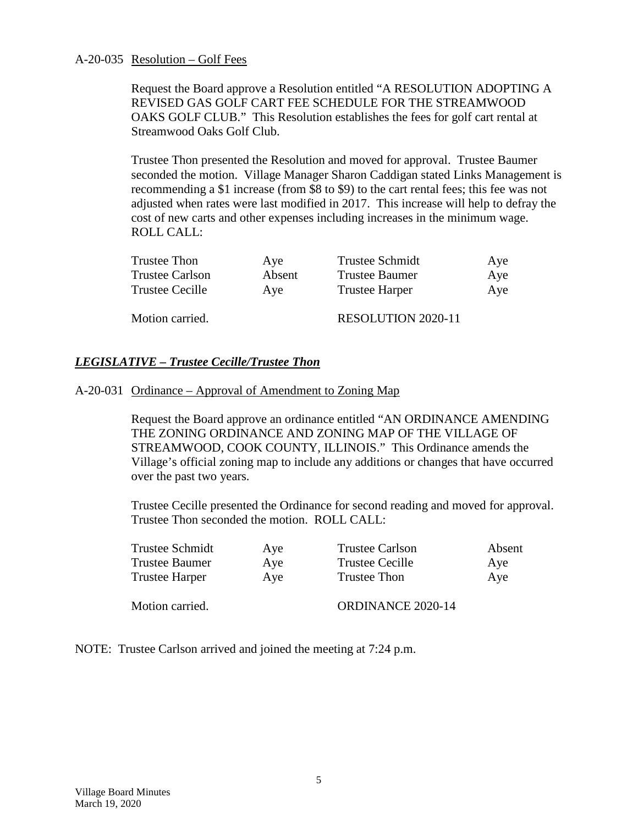#### A-20-035 Resolution – Golf Fees

Request the Board approve a Resolution entitled "A RESOLUTION ADOPTING A REVISED GAS GOLF CART FEE SCHEDULE FOR THE STREAMWOOD OAKS GOLF CLUB." This Resolution establishes the fees for golf cart rental at Streamwood Oaks Golf Club.

Trustee Thon presented the Resolution and moved for approval. Trustee Baumer seconded the motion. Village Manager Sharon Caddigan stated Links Management is recommending a \$1 increase (from \$8 to \$9) to the cart rental fees; this fee was not adjusted when rates were last modified in 2017. This increase will help to defray the cost of new carts and other expenses including increases in the minimum wage. ROLL CALL:

| Trustee Thon           | Ave    | <b>Trustee Schmidt</b>    | Aye |
|------------------------|--------|---------------------------|-----|
| <b>Trustee Carlson</b> | Absent | <b>Trustee Baumer</b>     | Aye |
| Trustee Cecille        | Ave    | <b>Trustee Harper</b>     | Aye |
| Motion carried.        |        | <b>RESOLUTION 2020-11</b> |     |

## *LEGISLATIVE – Trustee Cecille/Trustee Thon*

#### A-20-031 Ordinance – Approval of Amendment to Zoning Map

Request the Board approve an ordinance entitled "AN ORDINANCE AMENDING THE ZONING ORDINANCE AND ZONING MAP OF THE VILLAGE OF STREAMWOOD, COOK COUNTY, ILLINOIS." This Ordinance amends the Village's official zoning map to include any additions or changes that have occurred over the past two years.

Trustee Cecille presented the Ordinance for second reading and moved for approval. Trustee Thon seconded the motion. ROLL CALL:

| Trustee Schmidt | Aye | <b>Trustee Carlson</b>   | Absent |
|-----------------|-----|--------------------------|--------|
| Trustee Baumer  | Aye | <b>Trustee Cecille</b>   | Aye    |
| Trustee Harper  | Aye | Trustee Thon             | Aye    |
| Motion carried. |     | <b>ORDINANCE 2020-14</b> |        |

NOTE: Trustee Carlson arrived and joined the meeting at 7:24 p.m.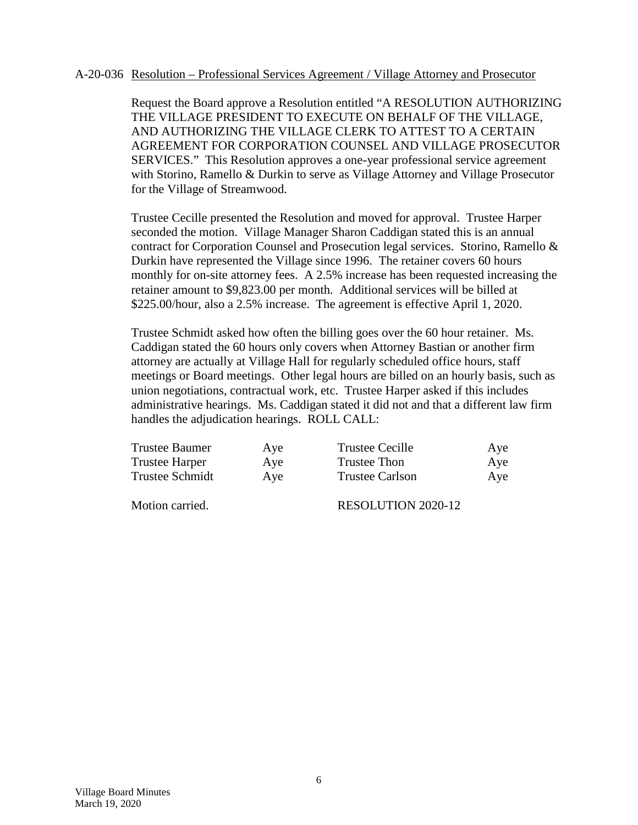#### A-20-036 Resolution – Professional Services Agreement / Village Attorney and Prosecutor

Request the Board approve a Resolution entitled "A RESOLUTION AUTHORIZING THE VILLAGE PRESIDENT TO EXECUTE ON BEHALF OF THE VILLAGE, AND AUTHORIZING THE VILLAGE CLERK TO ATTEST TO A CERTAIN AGREEMENT FOR CORPORATION COUNSEL AND VILLAGE PROSECUTOR SERVICES." This Resolution approves a one-year professional service agreement with Storino, Ramello & Durkin to serve as Village Attorney and Village Prosecutor for the Village of Streamwood.

Trustee Cecille presented the Resolution and moved for approval. Trustee Harper seconded the motion. Village Manager Sharon Caddigan stated this is an annual contract for Corporation Counsel and Prosecution legal services. Storino, Ramello & Durkin have represented the Village since 1996. The retainer covers 60 hours monthly for on-site attorney fees. A 2.5% increase has been requested increasing the retainer amount to \$9,823.00 per month. Additional services will be billed at \$225.00/hour, also a 2.5% increase. The agreement is effective April 1, 2020.

Trustee Schmidt asked how often the billing goes over the 60 hour retainer. Ms. Caddigan stated the 60 hours only covers when Attorney Bastian or another firm attorney are actually at Village Hall for regularly scheduled office hours, staff meetings or Board meetings. Other legal hours are billed on an hourly basis, such as union negotiations, contractual work, etc. Trustee Harper asked if this includes administrative hearings. Ms. Caddigan stated it did not and that a different law firm handles the adjudication hearings. ROLL CALL:

| <b>Trustee Baumer</b> | Aye | Trustee Cecille        | Aye |
|-----------------------|-----|------------------------|-----|
| <b>Trustee Harper</b> | Aye | Trustee Thon           | Aye |
| Trustee Schmidt       | Aye | <b>Trustee Carlson</b> | Aye |

Motion carried. RESOLUTION 2020-12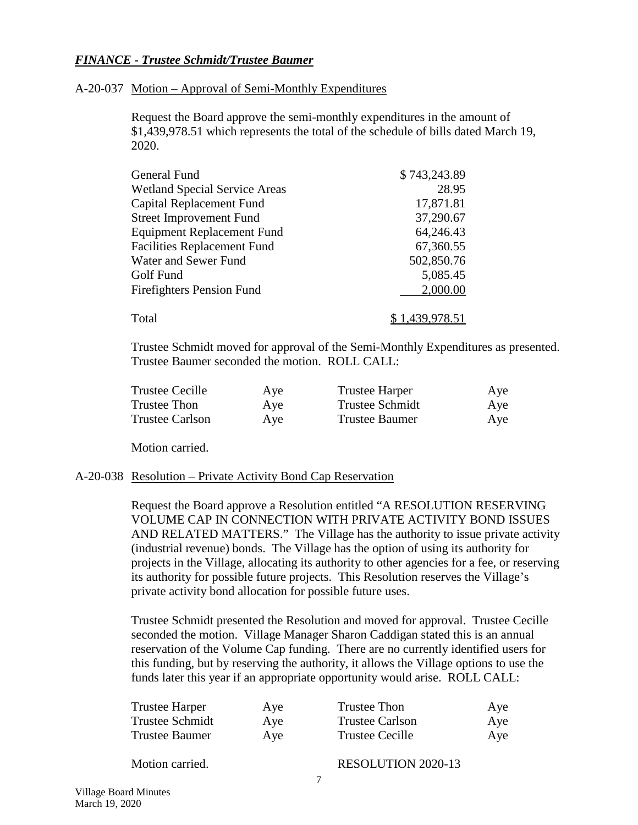## *FINANCE - Trustee Schmidt/Trustee Baumer*

#### A-20-037 Motion – Approval of Semi-Monthly Expenditures

Request the Board approve the semi-monthly expenditures in the amount of \$1,439,978.51 which represents the total of the schedule of bills dated March 19, 2020.

| General Fund                         | \$743,243.89 |
|--------------------------------------|--------------|
| <b>Wetland Special Service Areas</b> | 28.95        |
| Capital Replacement Fund             | 17,871.81    |
| <b>Street Improvement Fund</b>       | 37,290.67    |
| <b>Equipment Replacement Fund</b>    | 64,246.43    |
| <b>Facilities Replacement Fund</b>   | 67,360.55    |
| Water and Sewer Fund                 | 502,850.76   |
| Golf Fund                            | 5,085.45     |
| <b>Firefighters Pension Fund</b>     | 2,000.00     |
| Total                                | 1,439,978.51 |

Trustee Schmidt moved for approval of the Semi-Monthly Expenditures as presented. Trustee Baumer seconded the motion. ROLL CALL:

| <b>Trustee Cecille</b> | Aye | <b>Trustee Harper</b>  | Aye |
|------------------------|-----|------------------------|-----|
| Trustee Thon           | Aye | <b>Trustee Schmidt</b> | Aye |
| <b>Trustee Carlson</b> | Aye | Trustee Baumer         | Aye |

Motion carried.

#### A-20-038 Resolution – Private Activity Bond Cap Reservation

Request the Board approve a Resolution entitled "A RESOLUTION RESERVING VOLUME CAP IN CONNECTION WITH PRIVATE ACTIVITY BOND ISSUES AND RELATED MATTERS." The Village has the authority to issue private activity (industrial revenue) bonds. The Village has the option of using its authority for projects in the Village, allocating its authority to other agencies for a fee, or reserving its authority for possible future projects. This Resolution reserves the Village's private activity bond allocation for possible future uses.

Trustee Schmidt presented the Resolution and moved for approval. Trustee Cecille seconded the motion. Village Manager Sharon Caddigan stated this is an annual reservation of the Volume Cap funding. There are no currently identified users for this funding, but by reserving the authority, it allows the Village options to use the funds later this year if an appropriate opportunity would arise. ROLL CALL:

| Trustee Harper  | Aye | Trustee Thon    | Aye |
|-----------------|-----|-----------------|-----|
| Trustee Schmidt | Aye | Trustee Carlson | Aye |
| Trustee Baumer  | Aye | Trustee Cecille | Aye |

Motion carried. RESOLUTION 2020-13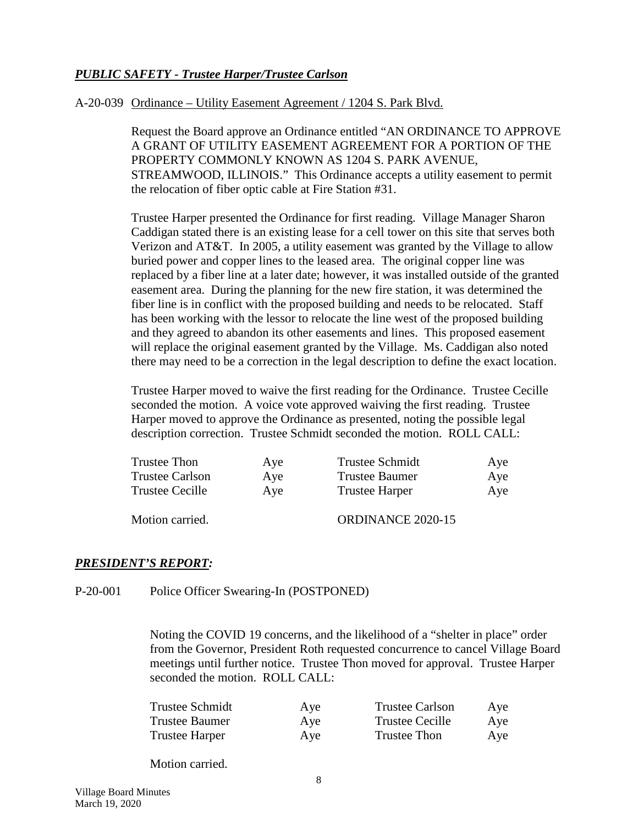# *PUBLIC SAFETY - Trustee Harper/Trustee Carlson*

#### A-20-039 Ordinance – Utility Easement Agreement / 1204 S. Park Blvd.

Request the Board approve an Ordinance entitled "AN ORDINANCE TO APPROVE A GRANT OF UTILITY EASEMENT AGREEMENT FOR A PORTION OF THE PROPERTY COMMONLY KNOWN AS 1204 S. PARK AVENUE, STREAMWOOD, ILLINOIS." This Ordinance accepts a utility easement to permit the relocation of fiber optic cable at Fire Station #31.

Trustee Harper presented the Ordinance for first reading. Village Manager Sharon Caddigan stated there is an existing lease for a cell tower on this site that serves both Verizon and AT&T. In 2005, a utility easement was granted by the Village to allow buried power and copper lines to the leased area. The original copper line was replaced by a fiber line at a later date; however, it was installed outside of the granted easement area. During the planning for the new fire station, it was determined the fiber line is in conflict with the proposed building and needs to be relocated. Staff has been working with the lessor to relocate the line west of the proposed building and they agreed to abandon its other easements and lines. This proposed easement will replace the original easement granted by the Village. Ms. Caddigan also noted there may need to be a correction in the legal description to define the exact location.

Trustee Harper moved to waive the first reading for the Ordinance. Trustee Cecille seconded the motion. A voice vote approved waiving the first reading. Trustee Harper moved to approve the Ordinance as presented, noting the possible legal description correction. Trustee Schmidt seconded the motion. ROLL CALL:

| Trustee Thon           | Aye | <b>Trustee Schmidt</b> | Aye |
|------------------------|-----|------------------------|-----|
| <b>Trustee Carlson</b> | Aye | <b>Trustee Baumer</b>  | Aye |
| Trustee Cecille        | Aye | <b>Trustee Harper</b>  | Aye |
| Motion carried.        |     | ORDINANCE 2020-15      |     |

#### *PRESIDENT'S REPORT:*

P-20-001 Police Officer Swearing-In (POSTPONED)

Noting the COVID 19 concerns, and the likelihood of a "shelter in place" order from the Governor, President Roth requested concurrence to cancel Village Board meetings until further notice. Trustee Thon moved for approval. Trustee Harper seconded the motion. ROLL CALL:

| Trustee Schmidt | Aye | <b>Trustee Carlson</b> | Aye |  |
|-----------------|-----|------------------------|-----|--|
| Trustee Baumer  | Aye | <b>Trustee Cecille</b> | Aye |  |
| Trustee Harper  | Aye | Trustee Thon           | Aye |  |

Motion carried.